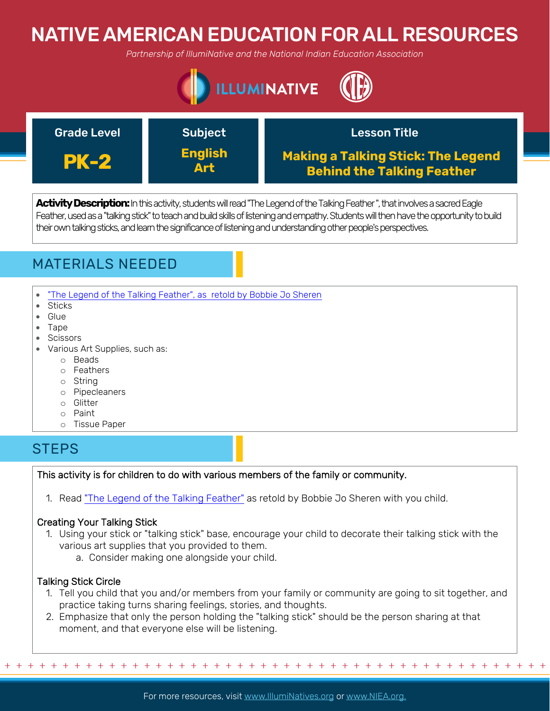# NATIVE AMERICAN EDUCATION FOR ALL RESOURCES

*Partnership of IllumiNative and the National Indian Education Association*





**Activity Description:**In this activity, students will read "The Legend of the Talking Feather ", that involves a sacred Eagle Feather, used as a "talking stick" to teach and build skills of listening and empathy. Students will then have the opportunity to build their own talking sticks, and learn the significance of listening and understanding other people's perspectives.

# MATERIALS NEEDED

- ["The Legend of the Talking Feather", as retold by Bobbie Jo Sheren](https://multiculturalkidblogs.com/2017/01/13/talking-feather-powerful-tool-listen/)
- Sticks
- Glue
- Tape
- Scissors
- Various Art Supplies, such as:
	- o Beads
	- o Feathers
	- o String
	- o Pipecleaners
	- o Glitter
	- o Paint
	- o Tissue Paper

# **STEPS**

## This activity is for children to do with various members of the family or community.

1. Read ["The Legend of the Talking Feather"](https://multiculturalkidblogs.com/2017/01/13/talking-feather-powerful-tool-listen/) as retold by Bobbie Jo Sheren with you child.

## Creating Your Talking Stick

- 1. Using your stick or "talking stick" base, encourage your child to decorate their talking stick with the various art supplies that you provided to them.
	- a. Consider making one alongside your child.

## Talking Stick Circle

- 1. Tell you child that you and/or members from your family or community are going to sit together, and practice taking turns sharing feelings, stories, and thoughts.
- 2. Emphasize that only the person holding the "talking stick" should be the person sharing at that moment, and that everyone else will be listening.

For more resources, visit www.lllumiNatives.org or www.NIEA.org.

+ + + + + + + + + + + + + + + + + + + + + + + + + + + + + + + + + + + + + + + + + + + + + + + +